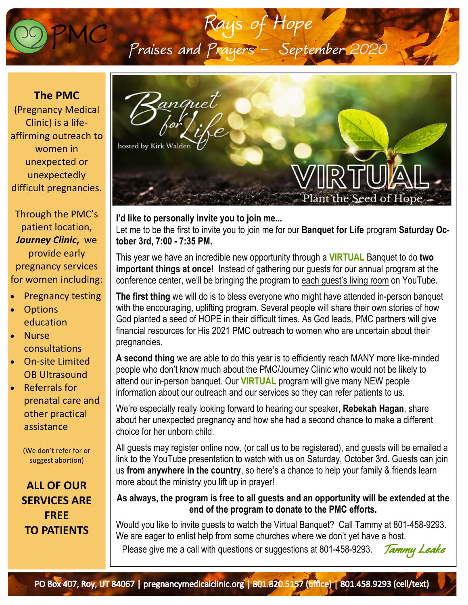

**The PMC**  (Pregnancy Medical Clinic) is a life‐ affirming outreach to women in unexpected or unexpectedly difficult pregnancies.

Through the PMC's patient location, *Journey Clinic***,** we provide early pregnancy services for women including:

- Pregnancy testing
- **Options** education
- Nurse consultations
- On‐site Limited OB Ultrasound
- Referrals for prenatal care and other practical assistance

(We don't refer for or suggest abortion)

**ALL OF OUR SERVICES ARE FREE TO PATIENTS**



**I'd like to personally invite you to join me...**  Let me to be the first to invite you to join me for our **Banquet for Life** program **Saturday October 3rd, 7:00 - 7:35 PM.** 

This year we have an incredible new opportunity through a **VIRTUAL** Banquet to do **two important things at once!** Instead of gathering our guests for our annual program at the conference center, we'll be bringing the program to each guest's living room on YouTube.

**The first thing** we will do is to bless everyone who might have attended in-person banquet with the encouraging, uplifting program. Several people will share their own stories of how God planted a seed of HOPE in their difficult times. As God leads, PMC partners will give financial resources for His 2021 PMC outreach to women who are uncertain about their pregnancies.

**A second thing** we are able to do this year is to efficiently reach MANY more like-minded people who don't know much about the PMC/Journey Clinic who would not be likely to attend our in-person banquet. Our **VIRTUAL** program will give many NEW people information about our outreach and our services so they can refer patients to us.

We're especially really looking forward to hearing our speaker, **Rebekah Hagan**, share about her unexpected pregnancy and how she had a second chance to make a different choice for her unborn child.

All guests may register online now, (or call us to be registered), and guests will be emailed a link to the YouTube presentation to watch with us on Saturday, October 3rd. Guests can join us **from anywhere in the country**, so here's a chance to help your family & friends learn more about the ministry you lift up in prayer!

**As always, the program is free to all guests and an opportunity will be extended at the end of the program to donate to the PMC efforts.**

Would you like to invite guests to watch the Virtual Banquet? Call Tammy at 801-458-9293. We are eager to enlist help from some churches where we don't yet have a host. Please give me a call with questions or suggestions at 801-458-9293. *Tammy Leake*